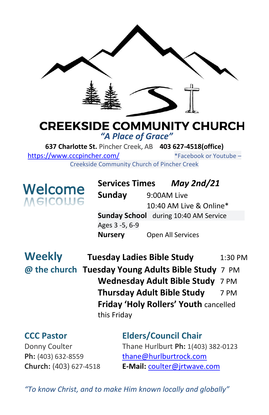

# **CREEKSIDE COMMUNITY CHURCH** *"A Place of Grace"*

**637 Charlotte St.** Pincher Creek, AB **403 627-4518(office)**  <https://www.cccpincher.com/>\*Facebook or Youtube – Creekside Community Church of Pincher Creek

**Welcome**<br>Melcowe

**! Services Times** *May 2nd/21* **Sunday** 9:00AM Live 10:40 AM Live & Online\* **Sunday School** during 10:40 AM Service Ages 3 -5, 6-9 **Nursery** Open All Services

**Weekly Tuesday Ladies Bible Study** 1:30 PM **@ the church Tuesday Young Adults Bible Study** 7 PM **Wednesday Adult Bible Study** 7 PM **Thursday Adult Bible Study** 7 PM **Friday 'Holy Rollers' Youth** cancelled this Friday

**CCC Pastor Elders/Council Chair** Donny Coulter Thane Hurlburt **Ph:** 1(403) 382-0123 Ph: (403) 632-8559 [thane@hurlburtrock.com](mailto:thane@hurlburtrock.com) **Church:** (403) 627-4518 **E-Mail:** [coulter@jrtwave.com](mailto:coulter@jrtwave.com)

*"To know Christ, and to make Him known locally and globally"*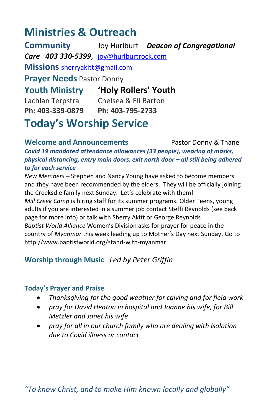# **Ministries & Outreach**

**Community** Joy Hurlburt *Deacon of Congregational Care 403 330-5399*, [joy@hurlburtrock.com](mailto:joy@hurlburtrock.com) **Missions** [sherryakitt@gmail.com](mailto:sherryakitt@gmail.com) **Prayer Needs** Pastor Donny **Youth Ministry 'Holy Rollers' Youth** Lachlan Terpstra Chelsea & Eli Barton **Ph: 403-339-0879 Ph: 403-795-2733 Today's Worship Service**

**Welcome and Announcements** Pastor Donny & Thane *Covid 19 mandated attendance allowances (33 people), wearing of masks, physical distancing, entry main doors, exit north door – all still being adhered to for each service*

*New Members –* Stephen and Nancy Young have asked to become members and they have been recommended by the elders. They will be officially joining the Creeksdie family next Sunday. Let's celebrate with them! *Mill Creek Camp* is hiring staff for its summer programs. Older Teens, young adults if you are interested in a summer job contact Steffi Reynolds (see back page for more info) or talk with Sherry Akitt or George Reynolds *Baptist World Alliance* Women's Division asks for prayer for peace in the country of *Myanmar* this week leading up to Mother's Day next Sunday. Go to http://www.baptistworld.org/stand-with-myanmar

### **Worship through Music** *Led by Peter Griffin*

#### **Today's Prayer and Praise**

- *Thanksgiving for the good weather for calving and for field work*
- *pray for David Heaton in hospital and Joanne his wife, for Bill Metzler and Janet his wife*
- *pray for all in our church family who are dealing with Isolation due to Covid illness or contact*

*"To know Christ, and to make Him known locally and globally"*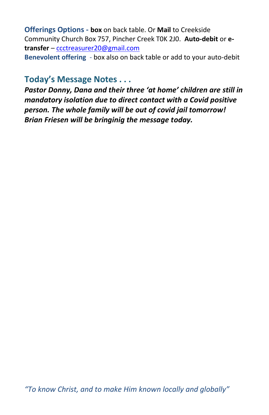**Offerings Options - box** on back table. Or **Mail** to Creekside Community Church Box 757, Pincher Creek T0K 2J0. **Auto-debit** or **etransfer** – [ccctreasurer20@gmail.com](mailto:ccctreasurer20@gmail.com)

**Benevolent offering** - box also on back table or add to your auto-debit

## **Today's Message Notes . . .**

*Pastor Donny, Dana and their three 'at home' children are still in mandatory isolation due to direct contact with a Covid positive person. The whole family will be out of covid jail tomorrow! Brian Friesen will be bringinig the message today.*